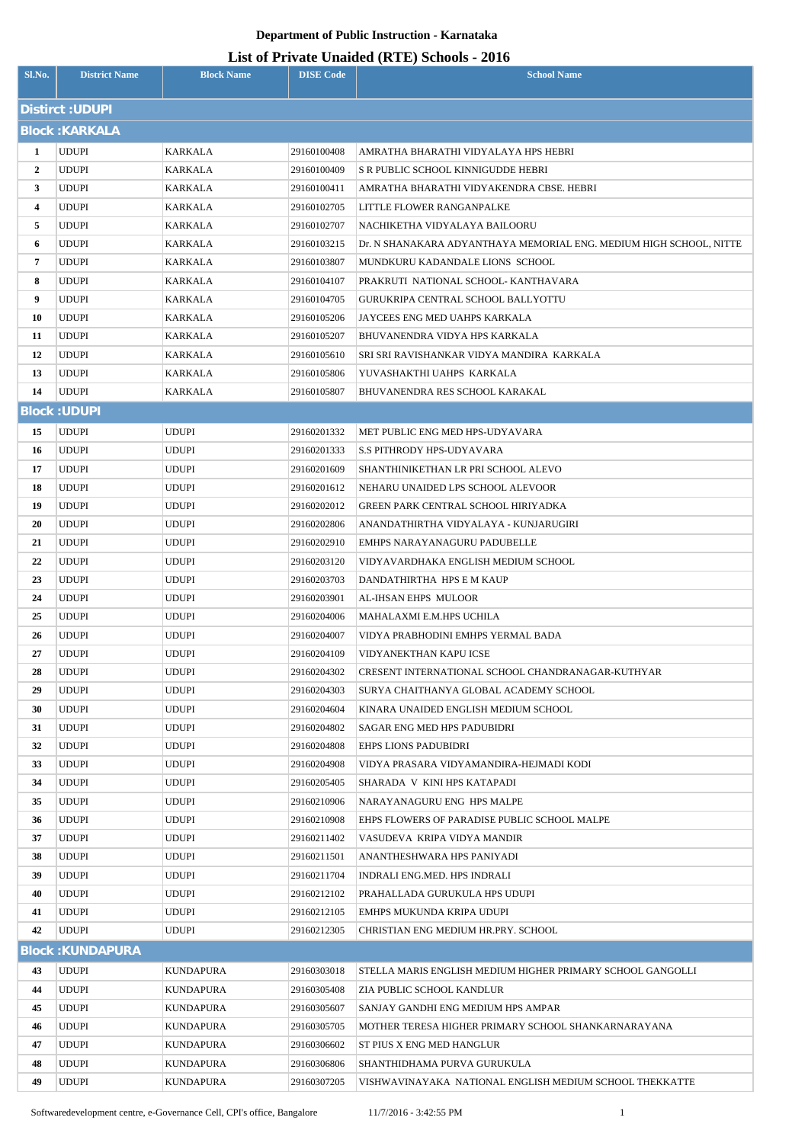## **Department of Public Instruction - Karnataka**

## **List of Private Unaided (RTE) Schools - 2016**

| Sl.No.                 | <b>District Name</b>         | <b>Block Name</b>            | <b>DISE Code</b>           | <b>School Name</b>                                                          |  |  |  |  |
|------------------------|------------------------------|------------------------------|----------------------------|-----------------------------------------------------------------------------|--|--|--|--|
| <b>Distirct: UDUPI</b> |                              |                              |                            |                                                                             |  |  |  |  |
| <b>Block: KARKALA</b>  |                              |                              |                            |                                                                             |  |  |  |  |
| 1                      | UDUPI                        | KARKALA                      | 29160100408                | AMRATHA BHARATHI VIDYALAYA HPS HEBRI                                        |  |  |  |  |
| $\mathbf{2}$           | <b>UDUPI</b>                 | KARKALA                      | 29160100409                | S R PUBLIC SCHOOL KINNIGUDDE HEBRI                                          |  |  |  |  |
| 3                      | UDUPI                        | KARKALA                      | 29160100411                | AMRATHA BHARATHI VIDYAKENDRA CBSE. HEBRI                                    |  |  |  |  |
| 4                      | UDUPI                        | KARKALA                      | 29160102705                | LITTLE FLOWER RANGANPALKE                                                   |  |  |  |  |
| 5                      | UDUPI                        | KARKALA                      | 29160102707                | NACHIKETHA VIDYALAYA BAILOORU                                               |  |  |  |  |
| 6                      | UDUPI                        | KARKALA                      | 29160103215                | Dr. N SHANAKARA ADYANTHAYA MEMORIAL ENG. MEDIUM HIGH SCHOOL, NITTE          |  |  |  |  |
| 7                      | <b>UDUPI</b>                 | KARKALA                      | 29160103807                | MUNDKURU KADANDALE LIONS SCHOOL                                             |  |  |  |  |
| 8                      | UDUPI                        | KARKALA                      | 29160104107                | PRAKRUTI NATIONAL SCHOOL-KANTHAVARA                                         |  |  |  |  |
| 9                      | <b>UDUPI</b>                 | KARKALA                      | 29160104705                | GURUKRIPA CENTRAL SCHOOL BALLYOTTU                                          |  |  |  |  |
| 10                     | <b>UDUPI</b>                 | KARKALA                      | 29160105206                | JAYCEES ENG MED UAHPS KARKALA                                               |  |  |  |  |
| 11                     | UDUPI                        | KARKALA                      | 29160105207                | BHUVANENDRA VIDYA HPS KARKALA                                               |  |  |  |  |
| 12                     | UDUPI                        | KARKALA                      | 29160105610                | SRI SRI RAVISHANKAR VIDYA MANDIRA KARKALA                                   |  |  |  |  |
| 13                     | UDUPI                        | KARKALA                      | 29160105806                | YUVASHAKTHI UAHPS KARKALA                                                   |  |  |  |  |
| 14                     | <b>UDUPI</b>                 | KARKALA                      | 29160105807                | BHUVANENDRA RES SCHOOL KARAKAL                                              |  |  |  |  |
| <b>Block: UDUPI</b>    |                              |                              |                            |                                                                             |  |  |  |  |
| 15                     | <b>UDUPI</b>                 | <b>UDUPI</b>                 | 29160201332                | MET PUBLIC ENG MED HPS-UDYAVARA                                             |  |  |  |  |
| 16                     | <b>UDUPI</b>                 | <b>UDUPI</b>                 | 29160201333                | <b>S.S PITHRODY HPS-UDYAVARA</b>                                            |  |  |  |  |
| 17                     | UDUPI                        | <b>UDUPI</b>                 | 29160201609                | SHANTHINIKETHAN LR PRI SCHOOL ALEVO                                         |  |  |  |  |
| 18                     | <b>UDUPI</b>                 | <b>UDUPI</b>                 | 29160201612                | NEHARU UNAIDED LPS SCHOOL ALEVOOR                                           |  |  |  |  |
| 19                     | <b>UDUPI</b>                 | <b>UDUPI</b>                 | 29160202012                | GREEN PARK CENTRAL SCHOOL HIRIYADKA                                         |  |  |  |  |
| 20                     | <b>UDUPI</b>                 | <b>UDUPI</b>                 | 29160202806                | ANANDATHIRTHA VIDYALAYA - KUNJARUGIRI                                       |  |  |  |  |
| 21                     | <b>UDUPI</b>                 | <b>UDUPI</b>                 | 29160202910                | EMHPS NARAYANAGURU PADUBELLE                                                |  |  |  |  |
| 22                     | UDUPI                        | <b>UDUPI</b>                 | 29160203120                | VIDYAVARDHAKA ENGLISH MEDIUM SCHOOL                                         |  |  |  |  |
| 23                     | <b>UDUPI</b>                 | <b>UDUPI</b>                 | 29160203703                | DANDATHIRTHA HPS E M KAUP                                                   |  |  |  |  |
| 24                     | UDUPI                        | <b>UDUPI</b>                 | 29160203901                | AL-IHSAN EHPS MULOOR                                                        |  |  |  |  |
| 25                     | <b>UDUPI</b>                 | <b>UDUPI</b>                 | 29160204006                | MAHALAXMI E.M.HPS UCHILA                                                    |  |  |  |  |
| 26                     | <b>UDUPI</b>                 | <b>UDUPI</b>                 | 29160204007                | VIDYA PRABHODINI EMHPS YERMAL BADA                                          |  |  |  |  |
| 27                     | <b>UDUPI</b>                 | <b>UDUPI</b>                 | 29160204109                | VIDYANEKTHAN KAPU ICSE                                                      |  |  |  |  |
| 28                     | UDUPI                        | <b>UDUPI</b>                 | 29160204302                | CRESENT INTERNATIONAL SCHOOL CHANDRANAGAR-KUTHYAR                           |  |  |  |  |
| 29                     | <b>UDUPI</b>                 | <b>UDUPI</b>                 | 29160204303                | SURYA CHAITHANYA GLOBAL ACADEMY SCHOOL                                      |  |  |  |  |
| 30                     | <b>UDUPI</b>                 | <b>UDUPI</b>                 | 29160204604                | KINARA UNAIDED ENGLISH MEDIUM SCHOOL                                        |  |  |  |  |
| 31                     | <b>UDUPI</b>                 | <b>UDUPI</b>                 | 29160204802                | SAGAR ENG MED HPS PADUBIDRI                                                 |  |  |  |  |
| 32                     | <b>UDUPI</b>                 | <b>UDUPI</b>                 | 29160204808                | <b>EHPS LIONS PADUBIDRI</b>                                                 |  |  |  |  |
| 33                     | UDUPI                        | <b>UDUPI</b>                 | 29160204908                | VIDYA PRASARA VIDYAMANDIRA-HEJMADI KODI                                     |  |  |  |  |
| 34                     | <b>UDUPI</b>                 | <b>UDUPI</b>                 | 29160205405                | SHARADA V KINI HPS KATAPADI                                                 |  |  |  |  |
| 35                     | <b>UDUPI</b>                 | <b>UDUPI</b>                 | 29160210906                | NARAYANAGURU ENG HPS MALPE                                                  |  |  |  |  |
| 36<br>37               | <b>UDUPI</b><br><b>UDUPI</b> | <b>UDUPI</b><br><b>UDUPI</b> | 29160210908<br>29160211402 | EHPS FLOWERS OF PARADISE PUBLIC SCHOOL MALPE<br>VASUDEVA KRIPA VIDYA MANDIR |  |  |  |  |
| 38                     | <b>UDUPI</b>                 | <b>UDUPI</b>                 | 29160211501                | ANANTHESHWARA HPS PANIYADI                                                  |  |  |  |  |
| 39                     | <b>UDUPI</b>                 | <b>UDUPI</b>                 | 29160211704                | INDRALI ENG.MED. HPS INDRALI                                                |  |  |  |  |
| 40                     | <b>UDUPI</b>                 | <b>UDUPI</b>                 | 29160212102                | PRAHALLADA GURUKULA HPS UDUPI                                               |  |  |  |  |
| 41                     | <b>UDUPI</b>                 | <b>UDUPI</b>                 | 29160212105                | EMHPS MUKUNDA KRIPA UDUPI                                                   |  |  |  |  |
| 42                     | <b>UDUPI</b>                 | <b>UDUPI</b>                 | 29160212305                | CHRISTIAN ENG MEDIUM HR.PRY. SCHOOL                                         |  |  |  |  |
|                        | <b>Block: KUNDAPURA</b>      |                              |                            |                                                                             |  |  |  |  |
| 43                     | <b>UDUPI</b>                 | <b>KUNDAPURA</b>             | 29160303018                | STELLA MARIS ENGLISH MEDIUM HIGHER PRIMARY SCHOOL GANGOLLI                  |  |  |  |  |
| 44                     | <b>UDUPI</b>                 | <b>KUNDAPURA</b>             | 29160305408                | ZIA PUBLIC SCHOOL KANDLUR                                                   |  |  |  |  |
| 45                     | <b>UDUPI</b>                 | <b>KUNDAPURA</b>             | 29160305607                | SANJAY GANDHI ENG MEDIUM HPS AMPAR                                          |  |  |  |  |
| 46                     | <b>UDUPI</b>                 | <b>KUNDAPURA</b>             | 29160305705                | MOTHER TERESA HIGHER PRIMARY SCHOOL SHANKARNARAYANA                         |  |  |  |  |
| 47                     | <b>UDUPI</b>                 | KUNDAPURA                    | 29160306602                | ST PIUS X ENG MED HANGLUR                                                   |  |  |  |  |
| 48                     | <b>UDUPI</b>                 | <b>KUNDAPURA</b>             | 29160306806                | SHANTHIDHAMA PURVA GURUKULA                                                 |  |  |  |  |
| 49                     | UDUPI                        | KUNDAPURA                    | 29160307205                | VISHWAVINAYAKA NATIONAL ENGLISH MEDIUM SCHOOL THEKKATTE                     |  |  |  |  |